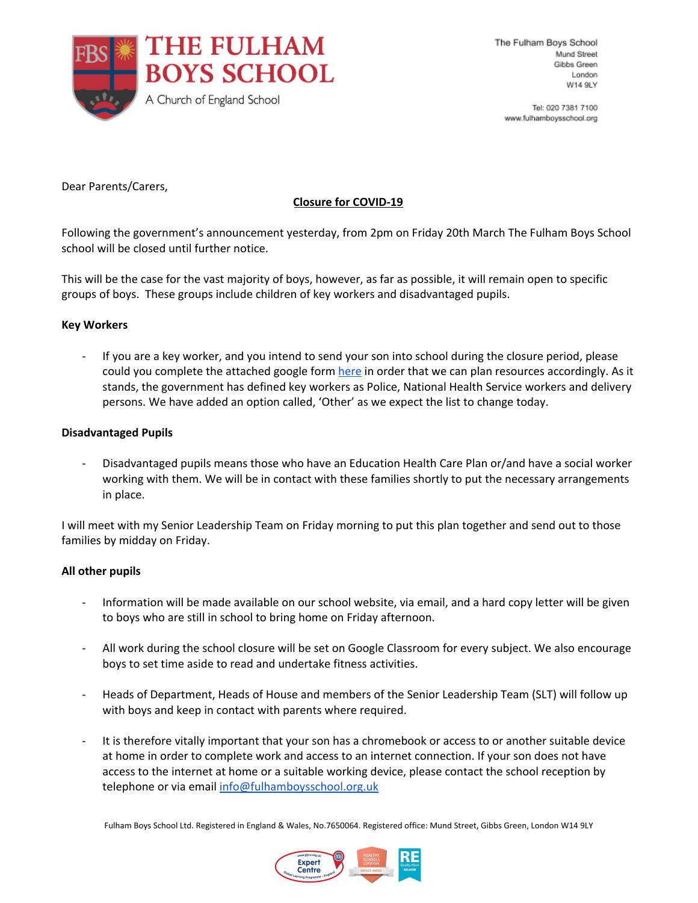

Tel: 020 7381 7100 www.fulhambovsschool.org

Dear Parents/Carers,

# **Closure for COVID-19**

Following the government's announcement yesterday, from 2pm on Friday 20th March The Fulham Boys School school will be closed until further notice.

This will be the case for the vast majority of boys, however, as far as possible, it will remain open to specific groups of boys. These groups include children of key workers and disadvantaged pupils.

# **Key Workers**

If you are a key worker, and you intend to send your son into school during the closure period, please could you complete the attached google form [here](https://docs.google.com/forms/d/1q9odIIvyAhe8NWUGnXfkfV6glDMs83xClDrYUUaKN-4/viewform?ts=5e73268a&edit_requested=true) in order that we can plan resources accordingly. As it stands, the government has defined key workers as Police, National Health Service workers and delivery persons. We have added an option called, 'Other' as we expect the list to change today.

# **Disadvantaged Pupils**

- Disadvantaged pupils means those who have an Education Health Care Plan or/and have a social worker working with them. We will be in contact with these families shortly to put the necessary arrangements in place.

I will meet with my Senior Leadership Team on Friday morning to put this plan together and send out to those families by midday on Friday.

# **All other pupils**

- Information will be made available on our school website, via email, and a hard copy letter will be given to boys who are still in school to bring home on Friday afternoon.
- All work during the school closure will be set on Google Classroom for every subject. We also encourage boys to set time aside to read and undertake fitness activities.
- Heads of Department, Heads of House and members of the Senior Leadership Team (SLT) will follow up with boys and keep in contact with parents where required.
- It is therefore vitally important that your son has a chromebook or access to or another suitable device at home in order to complete work and access to an internet connection. If your son does not have access to the internet at home or a suitable working device, please contact the school reception by telephone or via email [info@fulhamboysschool.org.uk](mailto:info@fulhamboysschool.org.uk)

Fulham Boys School Ltd. Registered in England & Wales, No.7650064. Registered office: Mund Street, Gibbs Green, London W14 9LY

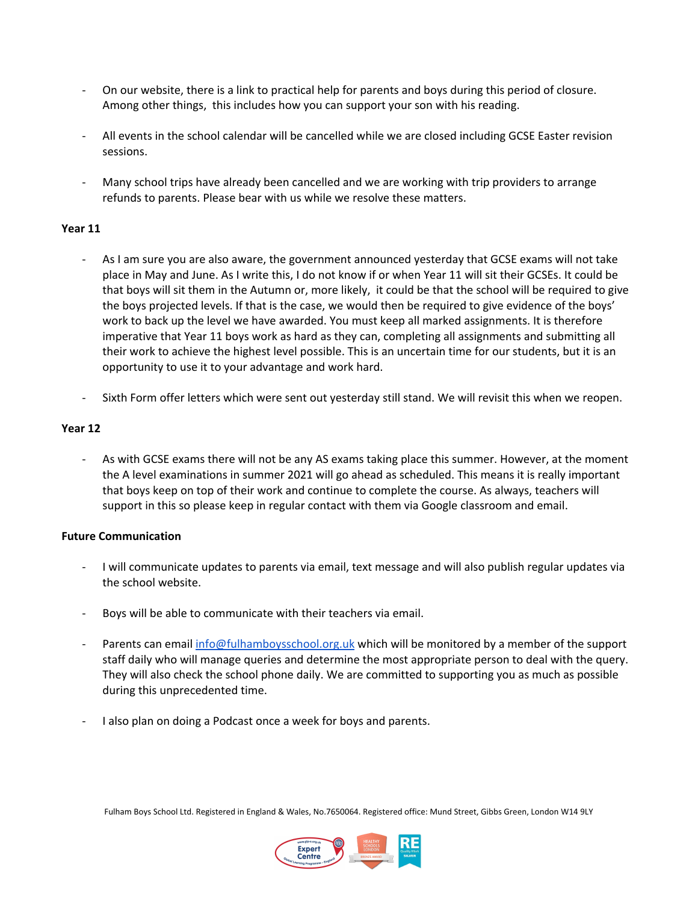- On our website, there is a link to practical help for parents and boys during this period of closure. Among other things, this includes how you can support your son with his reading.
- All events in the school calendar will be cancelled while we are closed including GCSE Easter revision sessions.
- Many school trips have already been cancelled and we are working with trip providers to arrange refunds to parents. Please bear with us while we resolve these matters.

# **Year 11**

- As I am sure you are also aware, the government announced yesterday that GCSE exams will not take place in May and June. As I write this, I do not know if or when Year 11 will sit their GCSEs. It could be that boys will sit them in the Autumn or, more likely, it could be that the school will be required to give the boys projected levels. If that is the case, we would then be required to give evidence of the boys' work to back up the level we have awarded. You must keep all marked assignments. It is therefore imperative that Year 11 boys work as hard as they can, completing all assignments and submitting all their work to achieve the highest level possible. This is an uncertain time for our students, but it is an opportunity to use it to your advantage and work hard.
- Sixth Form offer letters which were sent out yesterday still stand. We will revisit this when we reopen.

# **Year 12**

As with GCSE exams there will not be any AS exams taking place this summer. However, at the moment the A level examinations in summer 2021 will go ahead as scheduled. This means it is really important that boys keep on top of their work and continue to complete the course. As always, teachers will support in this so please keep in regular contact with them via Google classroom and email.

# **Future Communication**

- I will communicate updates to parents via email, text message and will also publish regular updates via the school website.
- Boys will be able to communicate with their teachers via email.
- Parents can email [info@fulhamboysschool.org.uk](mailto:info@fulhamboysschool.org.uk) which will be monitored by a member of the support staff daily who will manage queries and determine the most appropriate person to deal with the query. They will also check the school phone daily. We are committed to supporting you as much as possible during this unprecedented time.
- I also plan on doing a Podcast once a week for boys and parents.

Fulham Boys School Ltd. Registered in England & Wales, No.7650064. Registered office: Mund Street, Gibbs Green, London W14 9LY